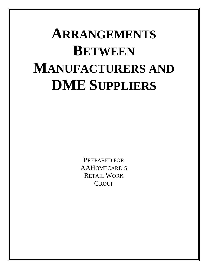# **ARRANGEMENTS BETWEEN MANUFACTURERS AND DME SUPPLIERS**

PREPARED FOR AAHOMECARE'S RETAIL WORK **GROUP**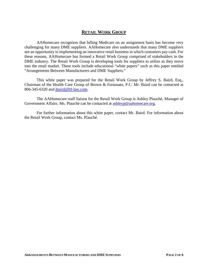## **RETAIL WORK GROUP**

AAHomecare recognizes that billing Medicare on an assignment basis has become very challenging for many DME suppliers. AAHomecare also understands that many DME suppliers see an opportunity in implementing an innovative retail business in which customers pay cash. For these reasons, AAHomecare has formed a Retail Work Group comprised of stakeholders in the DME industry. The Retail Work Group is developing tools for suppliers to utilize as they move into the retail market. These tools include educational "white papers" such as this paper entitled "Arrangements Between Manufacturers and DME Suppliers."

This white paper was prepared for the Retail Work Group by Jeffrey S. Baird, Esq., Chairman of the Health Care Group of Brown & Fortunato, P.C. Mr. Baird can be contacted at 806-345-6320 and *jbaird@bf-law.com.* 

The AAHomecare staff liaison for the Retail Work Group is Ashley Plauché, Manager of Government Affairs. Ms. Plauché can be contacted at [ashleyp@aahomecare.org.](mailto:ashleyp@aahomecare.org)

For further information about this white paper, contact Mr. Baird. For information about the Retail Work Group, contact Ms. Plauché.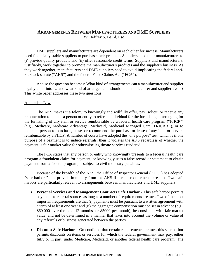### **ARRANGEMENTS BETWEEN MANUFACTURERS AND DME SUPPLIERS** By: Jeffrey S. Baird, Esq.

DME suppliers and manufacturers are dependent on each other for success. Manufacturers need financially stable suppliers to purchase their products. Suppliers need their manufacturers to (i) provide quality products and (ii) offer reasonable credit terms. Suppliers and manufacturers, justifiably, work together to promote the manufacturer's products and the supplier's business. As they work together, manufacturers and DME suppliers need to avoid implicating the federal antikickback statute ("AKS") and the federal False Claims Act ("FCA").

And so the question becomes: What kind of arrangements can a manufacturer and supplier legally enter into … and what kind of arrangements should the manufacturer and supplier avoid? This white paper addresses these two questions.

#### Applicable Law

The AKS makes it a felony to knowingly and willfully offer, pay, solicit, or receive any remuneration to induce a person or entity to refer an individual for the furnishing or arranging for the furnishing of any item or service reimbursable by a federal health care program ("FHCP") (e.g., Medicare, Medicare Advantage, Medicaid, Medicaid Managed Care, TRICARE), or to induce a person to purchase, lease, or recommend the purchase or lease of any item or service reimbursable by a FHCP. A number of courts have adopted the "one purpose" test, which is if one purpose of a payment is to induce referrals, then it violates the AKS regardless of whether the payment is fair market value for otherwise legitimate services rendered.

The FCA states that any person or entity who knowingly presents to a federal health care program a fraudulent claim for payment, or knowingly uses a false record or statement to obtain payment from a federal program, is subject to civil monetary penalties.

Because of the breadth of the AKS, the Office of Inspector General ("OIG") has adopted "safe harbors" that provide immunity from the AKS if certain requirements are met. Two safe harbors are particularly relevant to arrangements between manufacturers and DME suppliers:

- **Personal Services and Management Contracts Safe Harbor -** This safe harbor permits payments to referral sources as long as a number of requirements are met. Two of the most important requirements are that (i) payments must be pursuant to a written agreement with a term of at least one year and (ii) the aggregate compensation must be set in advance (e.g., \$60,000 over the next 12 months, or \$5000 per month), be consistent with fair market value, and not be determined in a manner that takes into account the volume or value of any referrals or business generated between the parties.
- **Discount Safe Harbor** On condition that certain requirements are met, this safe harbor permits discounts on items or services for which the federal government may pay, either fully or in part, under Medicare, Medicaid, or another federal health care program. The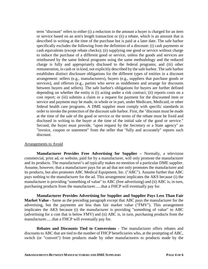term "discount" refers to either (i) a reduction in the amount a buyer is charged for an item or service based on an arm's length transaction or (ii) a rebate, which is an amount that is described in writing at the time of the purchase but is paid at a later date. The safe harbor specifically excludes the following from the definition of a discount: (i) cash payments or cash equivalents (except rebate checks); (ii) supplying one good or service without charge to induce the purchase of a different good or service, unless the goods and services are reimbursed by the same federal programs using the same methodology and the reduced charge is fully and appropriately disclosed to the federal programs; and (iii) other remuneration, in cash or in kind, not explicitly described by the safe harbor. The safe harbor establishes distinct disclosure obligations for the different types of entities in a discount arrangement: sellers (e.g., manufacturers), buyers (e.g., suppliers that purchase goods or services), and offerors (e.g., parties who serve as middlemen and arrange for discounts between buyers and sellers). The safe harbor's obligations for buyers are further defined depending on whether the entity is (i) acting under a risk contract; (ii) reports costs on a cost report; or (iii) submits a claim or a request for payment for the discounted item or service and payment may be made, in whole or in part, under Medicare, Medicaid, or other federal health care programs. A DME supplier must comply with specific standards in order to invoke the protection of the discount safe harbor. First, the "discount must be made at the time of the sale of the good or service or the terms of the rebate must be fixed and disclosed in writing to the buyer at the time of the initial sale of the good or service." Second, the buyer must provide, "upon request by the Secretary or a State agency" an "invoice, coupon or statement" from the seller that "fully and accurately" reports such discount.

#### Arrangements to Avoid

**Manufacturer Provides Free Advertising for Supplier –** Normally, a television commercial, print ad, or website, paid for by a manufacturer, will only promote the manufacturer and its products. The manufacturer's ad typically makes no mention of a particular DME supplier. Assume, however, that a manufacturer pays for an ad that not only promotes the manufacturer and its products, but also promotes ABC Medical Equipment, Inc. ("ABC"). Assume further that ABC pays nothing to the manufacturer for the ad. This arrangement implicates the AKS because (i) the manufacturer is providing "something of value" to ABC (free advertising) and (ii) ABC is, in turn, purchasing products from the manufacturer......that a FHCP will eventually pay for.

**Manufacturer Provides Advertising for Supplier and Supplier Pays Less Than Fair Market Value -** Same as the preceding paragraph except that ABC pays the manufacturer for the advertising, but the payments are less than fair market value ("FMV"). This arrangement implicates the AKS because (i) the manufacturer is providing "something of value" to ABC (advertising for a cost that is below FMV) and (ii) ABC is, in turn, purchasing products from the manufacturer......that a FHCP will eventually pay for.

**Rebates and Discounts Tied to Conversions -** The manufacturer offers rebates and discounts to ABC that are tied to the number of FHCP beneficiaries who, at the prompting of ABC, switch (or "convert") from products made by other manufacturers to products made by the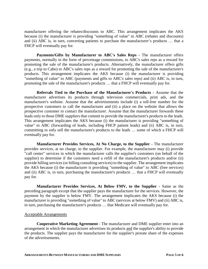manufacturer offering the rebates/discounts to ABC. This arrangement implicates the AKS because (i) the manufacturer is providing "something of value" to ABC (rebates and discounts) and (ii) ABC is, in turn, converting patients to purchase the manufacturer's products … that a FHCP will eventually pay for.

**Payments/Gifts by Manufacturer to ABC's Sales Reps -** The manufacturer offers payments, normally in the form of percentage commissions, to ABC's sales reps as a reward for promoting the sale of the manufacturer's products. Alternatively, the manufacturer offers gifts (e.g., a trip to Cabo) to ABC's sales reps as a reward for promoting the sale of the manufacturer's products. This arrangement implicates the AKS because (i) the manufacturer is providing "something of value" to ABC (payments and gifts to ABC's sales reps) and (ii) ABC is, in turn, promoting the sale of the manufacturer's products … that a FHCP will eventually pay for.

**Referrals Tied to the Purchase of the Manufacturer's Products -** Assume that the manufacturer advertises its products through television commercials, print ads, and the manufacturer's website. Assume that the advertisements include (i) a toll-free number for the prospective customers to call the manufacturer and (ii) a place on the website that allows the prospective customer to contact the manufacturer. Assume that the manufacturer forwards these leads only to those DME suppliers that commit to provide the manufacturer's products to the leads. This arrangement implicates the AKS because (i) the manufacturer is providing "something of value" to ABC (forwarding of leads, including FHCP patient leads) and (ii) ABC is, in turn, committing to only sell the manufacturer's products to the leads … some of which a FHCP will eventually pay for.

**Manufacturer Provides Services, At No Charge, to the Supplier -** The manufacturer provides services, at no charge, to the supplier. For example, the manufacturer may (i) provide "call center" services in which the manufacturer calls the supplier's customers (on behalf of the supplier) to determine if the customers need a refill of the manufacturer's products and/or (ii) provide billing services (or billing consulting services) to the supplier. The arrangement implicates the AKS because (i) the manufacturer is providing "something of value" to ABC (free services) and (ii) ABC is, in turn, purchasing the manufacturer's products … that a FHCP will eventually pay for.

**Manufacturer Provides Services, At Below FMV, to the Supplier -** Same as the preceding paragraph except that the supplier pays the manufacturer for the services. However, the payment by the supplier is below FMV. The arrangement implicates the AKS because (i) the manufacturer is providing "something of value" to ABC (services at below FMV) and (ii) ABC is, in turn, purchasing the manufacturer's products … that Medicare will eventually pay for.

#### Acceptable Arrangements

**Cooperative Marketing Agreement -** The manufacturer and DME supplier enter into an arrangement in which the manufacturer advertises its products and the supplier's ability to provide the products. The supplier pays the manufacturer for the supplier's prorate share of the expenses of the advertisements.